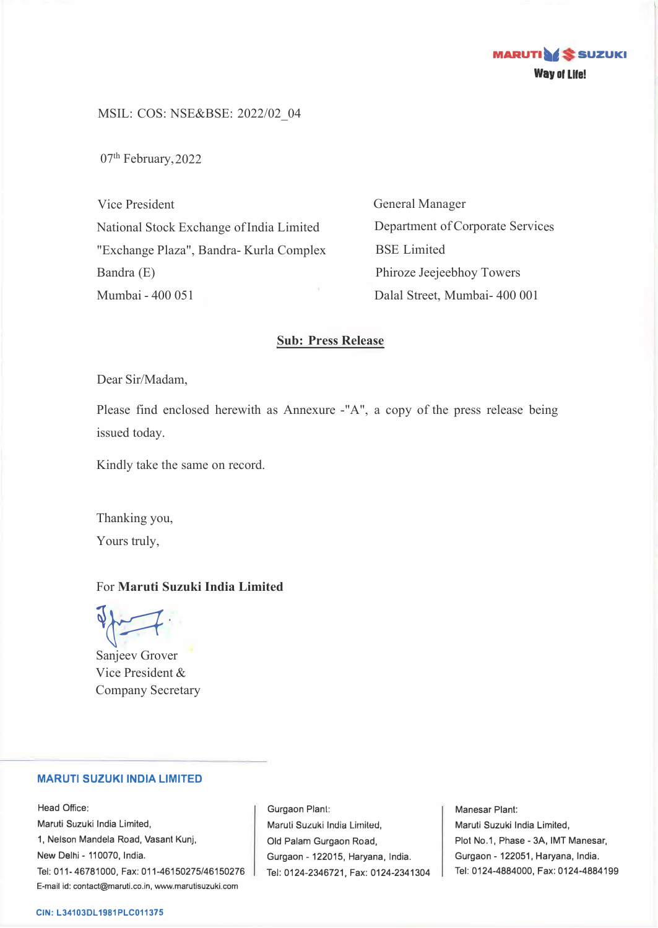

MSIL: COS: NSE&BSE: 2022/02\_04

07<sup>th</sup> February, 2022

Vice President National Stock Exchange of India Limited "Exchange Plaza", Bandra- Kurla Complex Bandra (E) Mumbai - 400 051

General Manager Department of Corporate Services BSE Limited Phiroze Jeejeebhoy Towers Dalal Street, Mumbai- 400 001

### **Sub: Press Release**

Dear Sir/Madam,

Please find enclosed herewith as Annexure -"A", a copy of the press release being issued today.

Kindly take the same on record.

Thanking you, Yours truly,

# For **Maruti Suzuki India Limited**

Sanjeev Grover

Vice President & Company Secretary

## **MARUTI SUZUKI INDIA LIMITED**

Head Office: Maruti Suzuki India Limited, 1, Nelson Mandela Road, Vasant Kunj, New Delhi - 110070, India. Tel: 011-46781000, Fax: 011-46150275/46150276 E-mail id: contact@maruti.co.in, www.marutisuzuki.com

Gurgaon Plant: Maruli Suzuki India Lirniled, Old Palam Gurgaon Road, Gurgaon - 122015, Haryana, India. Tel: 0124-2346721, Fax: 0124-2341304

Manesar Plant: Maruti Suzuki India Limited, Plot No.1, Phase - 3A, IMT Manesar, Gurgaon - 122051, Haryana, India. Tel: 0124-4884000, Fax: 0124-4884199

#### **CIN: L34103DL1981PLC011375**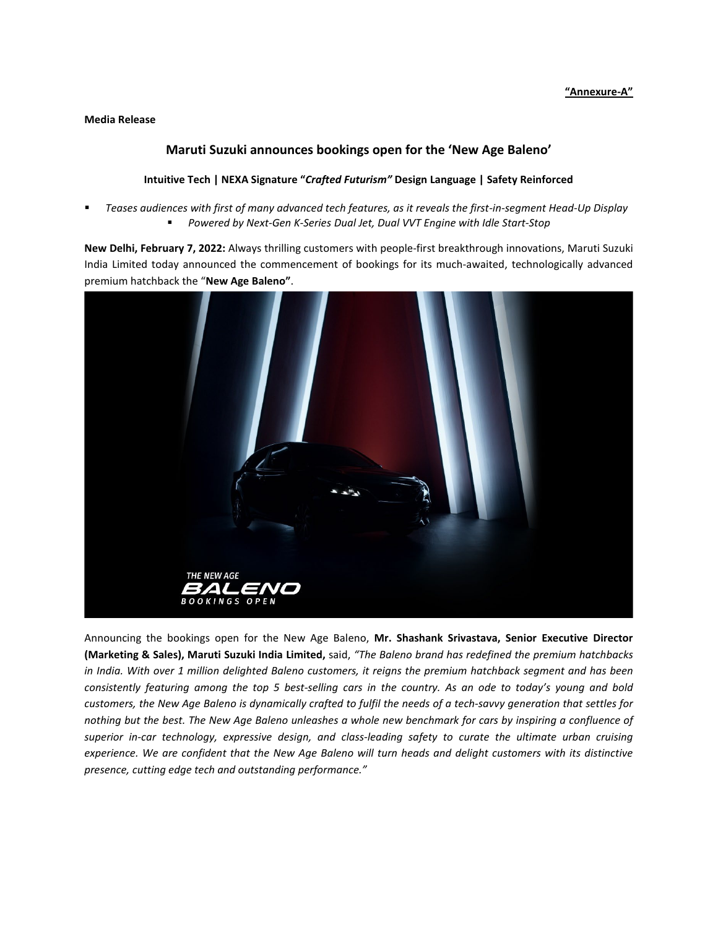#### **Media Release**

### **Maruti Suzuki announces bookings open for the 'New Age Baleno'**

#### **Intuitive Tech | NEXA Signature "***Crafted Futurism"* **Design Language | Safety Reinforced**

 *Teases audiences with first of many advanced tech features, as it reveals the first-in-segment Head-Up Display Powered by Next-Gen K-Series Dual Jet, Dual VVT Engine with Idle Start-Stop*

**New Delhi, February 7, 2022:** Always thrilling customers with people-first breakthrough innovations, Maruti Suzuki India Limited today announced the commencement of bookings for its much-awaited, technologically advanced premium hatchback the "**New Age Baleno"**.



Announcing the bookings open for the New Age Baleno, **Mr. Shashank Srivastava, Senior Executive Director (Marketing & Sales), Maruti Suzuki India Limited,** said, *"The Baleno brand has redefined the premium hatchbacks in India. With over 1 million delighted Baleno customers, it reigns the premium hatchback segment and has been consistently featuring among the top 5 best-selling cars in the country. As an ode to today's young and bold customers, the New Age Baleno is dynamically crafted to fulfil the needs of a tech-savvy generation that settles for nothing but the best. The New Age Baleno unleashes a whole new benchmark for cars by inspiring a confluence of superior in-car technology, expressive design, and class-leading safety to curate the ultimate urban cruising experience. We are confident that the New Age Baleno will turn heads and delight customers with its distinctive presence, cutting edge tech and outstanding performance."*